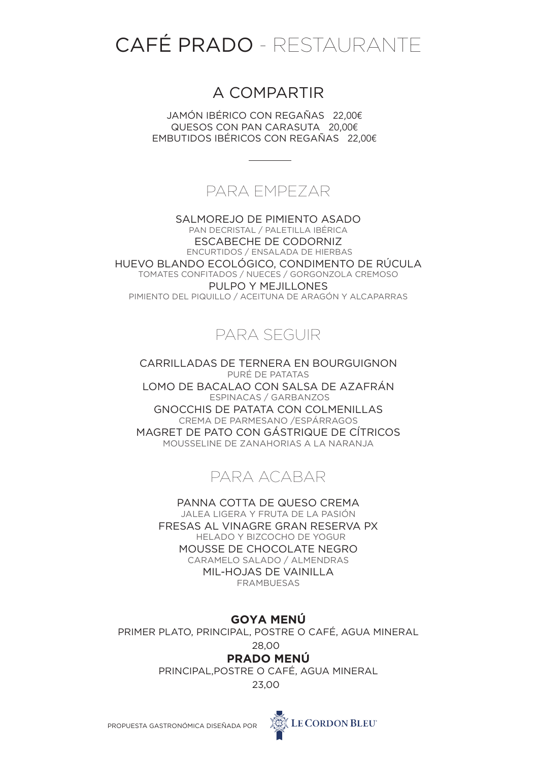# CAFÉ PRADO - RESTAURANTE

# A COMPARTIR

JAMÓN IBÉRICO CON REGAÑAS 22,00€ € QUESOS CON PAN CARASUTA 20,00€ EMBUTIDOS IBÉRICOS CON REGAÑAS 22,00€ €

## PARA EMPEZAR

SALMOREJO DE PIMIENTO ASADO PAN DECRISTAL / PALETILLA IBÉRICA ESCABECHE DE CODORNIZ ENCURTIDOS / ENSALADA DE HIERBAS HUEVO BLANDO ECOLÓGICO, CONDIMENTO DE RÚCULA TOMATES CONFITADOS / NUECES / GORGONZOLA CREMOSO PULPO Y MEJILLONES PIMIENTO DEL PIQUILLO / ACEITUNA DE ARAGÓN Y ALCAPARRAS

# PARA SEGUIR

CARRILLADAS DE TERNERA EN BOURGUIGNON PURÉ DE PATATAS LOMO DE BACALAO CON SALSA DE AZAFRÁN ESPINACAS / GARBANZOS GNOCCHIS DE PATATA CON COLMENILLAS CREMA DE PARMESANO /ESPÁRRAGOS MAGRET DE PATO CON GÁSTRIQUE DE CÍTRICOS MOUSSELINE DE ZANAHORIAS A LA NARANJA



PANNA COTTA DE QUESO CREMA JALEA LIGERA Y FRUTA DE LA PASIÓN FRESAS AL VINAGRE GRAN RESERVA PX HELADO Y BIZCOCHO DE YOGUR MOUSSE DE CHOCOLATE NEGRO CARAMELO SALADO / ALMENDRAS MIL-HOJAS DE VAINILLA FRAMBUESAS

## **GOYA MENÚ**

PRIMER PLATO, PRINCIPAL, POSTRE O CAFÉ, AGUA MINERAL

#### 28,00€ **PRADO MENÚ**

PRINCIPAL,POSTRE O CAFÉ, AGUA MINERAL

23,00€

PROPUESTA GASTRONÓMICA DISEÑADA POR